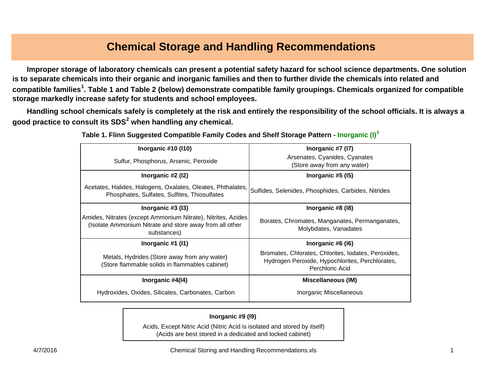# **Chemical Storage and Handling Recommendations**

 **Improper storage of laboratory chemicals can present a potential safety hazard for school science departments. One solution is to separate chemicals into their organic and inorganic families and then to further divide the chemicals into related and compatible families1. Table 1 and Table 2 (below) demonstrate compatible family groupings. Chemicals organized for compatible storage markedly increase safety for students and school employees.** 

 **Handling school chemicals safely is completely at the risk and entirely the responsibility of the school officials. It is always a good practice to consult its SDS2 when handlin g an y chemical.**

| Inorganic $#10$ ( $ 10$ )                                                                                                              | Inorganic $#7$ (I7)                                                                                                       |  |
|----------------------------------------------------------------------------------------------------------------------------------------|---------------------------------------------------------------------------------------------------------------------------|--|
| Sulfur, Phosphorus, Arsenic, Peroxide                                                                                                  | Arsenates, Cyanides, Cyanates                                                                                             |  |
|                                                                                                                                        | (Store away from any water)                                                                                               |  |
| Inorganic #2 (I2)                                                                                                                      | Inorganic $#5$ (15)                                                                                                       |  |
| Acetates, Halides, Halogens, Oxalates, Oleates, Phthalates,<br>Phosphates, Sulfates, Sulfites, Thiosulfates                            | Sulfides, Selenides, Phosphides, Carbides, Nitrides                                                                       |  |
| Inorganic $#3$ (13)                                                                                                                    | Inorganic #8 (18)                                                                                                         |  |
| Amides, Nitrates (except Ammonium Nitrate), Nitrites, Azides<br>(Isolate Ammonium Nitrate and store away from all other<br>substances) | Borates, Chromates, Manganates, Permanganates,<br>Molybdates, Vanadates                                                   |  |
| Inorganic #1 (I1)                                                                                                                      | Inorganic #6 (16)                                                                                                         |  |
| Metals, Hydrides (Store away from any water)<br>(Store flammable solids in flammables cabinet)                                         | Bromates, Chlorates, Chlorites, Iodates, Peroxides,<br>Hydrogen Peroxide, Hypochlorites, Perchlorates,<br>Perchloric Acid |  |
| Inorganic #4(14)                                                                                                                       | <b>Miscellaneous (IM)</b>                                                                                                 |  |
| Hydroxides, Oxides, Silicates, Carbonates, Carbon                                                                                      | Inorganic Miscellaneous                                                                                                   |  |

**Table 1. Flinn Suggested Compatible Family Codes and Shelf Storage Pattern - Inorganic (I)<sup>3</sup>**

#### **Inorganic #9 (I9)**

Acids, Except Nitric Acid (Nitric Acid is isolated and stored by itself) (Acids are best stored in a dedicated and locked cabinet)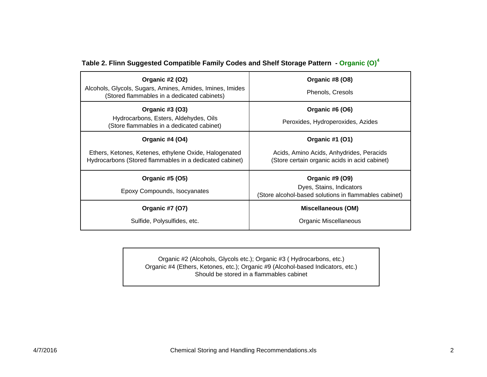| Organic #2 (O2)<br>Alcohols, Glycols, Sugars, Amines, Amides, Imines, Imides<br>(Stored flammables in a dedicated cabinets)         | Organic #8 (O8)<br>Phenols, Cresols                                                                          |
|-------------------------------------------------------------------------------------------------------------------------------------|--------------------------------------------------------------------------------------------------------------|
| Organic #3 (03)<br>Hydrocarbons, Esters, Aldehydes, Oils<br>(Store flammables in a dedicated cabinet)                               | Organic #6 (O6)<br>Peroxides, Hydroperoxides, Azides                                                         |
| Organic #4 (O4)<br>Ethers, Ketones, Ketenes, ethylene Oxide, Halogenated<br>Hydrocarbons (Stored flammables in a dedicated cabinet) | Organic #1 (01)<br>Acids, Amino Acids, Anhydrides, Peracids<br>(Store certain organic acids in acid cabinet) |
| Organic #5 (05)<br>Epoxy Compounds, Isocyanates                                                                                     | Organic #9 (O9)<br>Dyes, Stains, Indicators<br>(Store alcohol-based solutions in flammables cabinet)         |
| <b>Organic #7 (O7)</b><br>Sulfide, Polysulfides, etc.                                                                               | Miscellaneous (OM)<br>Organic Miscellaneous                                                                  |

### **Table 2. Flinn Suggested Compatible Family Codes and Shelf Storage Pattern - Organic (O)<sup>4</sup>**

Organic #2 (Alcohols, Glycols etc.); Organic #3 ( Hydrocarbons, etc.) Organic #4 (Ethers, Ketones, etc.); Organic #9 (Alcohol-based Indicators, etc.) Should be stored in a flammables cabinet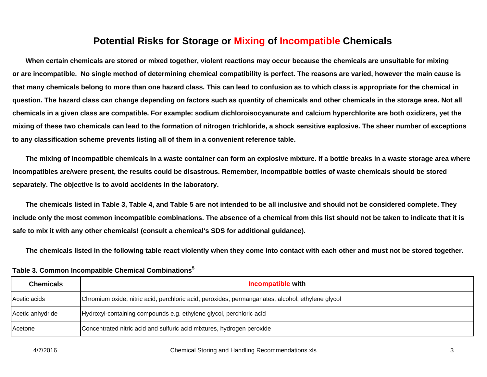## **Potential Risks for Storage or Mixing of Incompatible Chemicals**

 **When certain chemicals are stored or mixed together, violent reactions may occur because the chemicals are unsuitable for mixing or are incompatible. No single method of determining chemical compatibility is perfect. The reasons are varied, however the main cause is that many chemicals belong to more than one hazard class. This can lead to confusion as to which class is appropriate for the chemical in question. The hazard class can change depending on factors such as quantity of chemicals and other chemicals in the storage area. Not all chemicals in a given class are compatible. For example: sodium dichloroisocyanurate and calcium hyperchlorite are both oxidizers, yet the mixing of these two chemicals can lead to the formation of nitrogen trichloride, a shock sensitive explosive. The sheer number of exceptions to any classification scheme prevents listing all of them in a convenient reference table.**

 **The mixing of incompatible chemicals in a waste container can form an explosive mixture. If a bottle breaks in a waste storage area where incompatibles are/were present, the results could be disastrous. Remember, incompatible bottles of waste chemicals should be stored separately. The objective is to avoid accidents in the laboratory.**

 **The chemicals listed in Table 3, Table 4, and Table 5 are not intended to be all inclusive and should not be considered complete. They include only the most common incompatible combinations. The absence of a chemical from this list should not be taken to indicate that it is safe to mix it with any other chemicals! (consult a chemical's SDS for additional guidance).**

 **The chemicals listed in the following table react violently when they come into contact with each other and must not be stored together.** 

| <b>Chemicals</b> | <b>Incompatible with</b>                                                                         |
|------------------|--------------------------------------------------------------------------------------------------|
| Acetic acids     | Chromium oxide, nitric acid, perchloric acid, peroxides, permanganates, alcohol, ethylene glycol |
| Acetic anhydride | Hydroxyl-containing compounds e.g. ethylene glycol, perchloric acid                              |
| Acetone          | Concentrated nitric acid and sulfuric acid mixtures, hydrogen peroxide                           |

**Table 3. Common Incompatible Chemical Combinations<sup>5</sup>**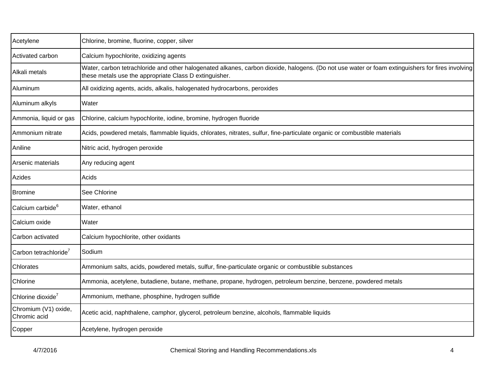| Acetylene                            | Chlorine, bromine, fluorine, copper, silver                                                                                                                                                                |  |
|--------------------------------------|------------------------------------------------------------------------------------------------------------------------------------------------------------------------------------------------------------|--|
| Activated carbon                     | Calcium hypochlorite, oxidizing agents                                                                                                                                                                     |  |
| Alkali metals                        | Water, carbon tetrachloride and other halogenated alkanes, carbon dioxide, halogens. (Do not use water or foam extinguishers for fires involving<br>these metals use the appropriate Class D extinguisher. |  |
| Aluminum                             | All oxidizing agents, acids, alkalis, halogenated hydrocarbons, peroxides                                                                                                                                  |  |
| Aluminum alkyls                      | Water                                                                                                                                                                                                      |  |
| Ammonia, liquid or gas               | Chlorine, calcium hypochlorite, iodine, bromine, hydrogen fluoride                                                                                                                                         |  |
| Ammonium nitrate                     | Acids, powdered metals, flammable liquids, chlorates, nitrates, sulfur, fine-particulate organic or combustible materials                                                                                  |  |
| Aniline                              | Nitric acid, hydrogen peroxide                                                                                                                                                                             |  |
| Arsenic materials                    | Any reducing agent                                                                                                                                                                                         |  |
| Azides                               | Acids                                                                                                                                                                                                      |  |
| Bromine                              | See Chlorine                                                                                                                                                                                               |  |
| Calcium carbide <sup>6</sup>         | Water, ethanol                                                                                                                                                                                             |  |
| Calcium oxide                        | Water                                                                                                                                                                                                      |  |
| Carbon activated                     | Calcium hypochlorite, other oxidants                                                                                                                                                                       |  |
| Carbon tetrachloride <sup>7</sup>    | Sodium                                                                                                                                                                                                     |  |
| Chlorates                            | Ammonium salts, acids, powdered metals, sulfur, fine-particulate organic or combustible substances                                                                                                         |  |
| Chlorine                             | Ammonia, acetylene, butadiene, butane, methane, propane, hydrogen, petroleum benzine, benzene, powdered metals                                                                                             |  |
| Chlorine dioxide <sup>7</sup>        | Ammonium, methane, phosphine, hydrogen sulfide                                                                                                                                                             |  |
| Chromium (V1) oxide,<br>Chromic acid | Acetic acid, naphthalene, camphor, glycerol, petroleum benzine, alcohols, flammable liquids                                                                                                                |  |
| Copper                               | Acetylene, hydrogen peroxide                                                                                                                                                                               |  |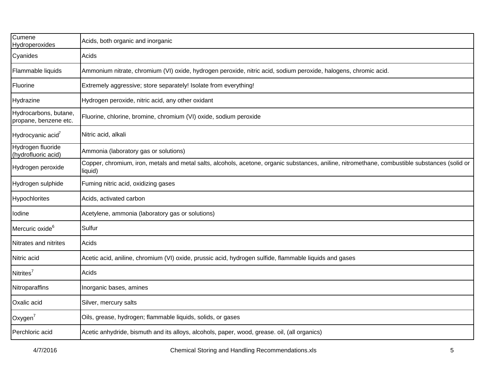| Cumene<br>Hydroperoxides                       | Acids, both organic and inorganic                                                                                                                         |  |
|------------------------------------------------|-----------------------------------------------------------------------------------------------------------------------------------------------------------|--|
| Cyanides                                       | Acids                                                                                                                                                     |  |
| Flammable liquids                              | Ammonium nitrate, chromium (VI) oxide, hydrogen peroxide, nitric acid, sodium peroxide, halogens, chromic acid.                                           |  |
| Fluorine                                       | Extremely aggressive; store separately! Isolate from everything!                                                                                          |  |
| Hydrazine                                      | Hydrogen peroxide, nitric acid, any other oxidant                                                                                                         |  |
| Hydrocarbons, butane,<br>propane, benzene etc. | Fluorine, chlorine, bromine, chromium (VI) oxide, sodium peroxide                                                                                         |  |
| Hydrocyanic acid <sup>7</sup>                  | Nitric acid, alkali                                                                                                                                       |  |
| Hydrogen fluoride<br>(hydrofluoric acid)       | Ammonia (laboratory gas or solutions)                                                                                                                     |  |
| Hydrogen peroxide                              | Copper, chromium, iron, metals and metal salts, alcohols, acetone, organic substances, aniline, nitromethane, combustible substances (solid or<br>liquid) |  |
| Hydrogen sulphide                              | Fuming nitric acid, oxidizing gases                                                                                                                       |  |
| Hypochlorites                                  | Acids, activated carbon                                                                                                                                   |  |
| lodine                                         | Acetylene, ammonia (laboratory gas or solutions)                                                                                                          |  |
| Mercuric oxide <sup>6</sup>                    | Sulfur                                                                                                                                                    |  |
| Nitrates and nitrites                          | Acids                                                                                                                                                     |  |
| Nitric acid                                    | Acetic acid, aniline, chromium (VI) oxide, prussic acid, hydrogen sulfide, flammable liquids and gases                                                    |  |
| Nitrites <sup>7</sup>                          | Acids                                                                                                                                                     |  |
| Nitroparaffins                                 | Inorganic bases, amines                                                                                                                                   |  |
| Oxalic acid                                    | Silver, mercury salts                                                                                                                                     |  |
| Oxygen $7$                                     | Oils, grease, hydrogen; flammable liquids, solids, or gases                                                                                               |  |
| Perchloric acid                                | Acetic anhydride, bismuth and its alloys, alcohols, paper, wood, grease. oil, (all organics)                                                              |  |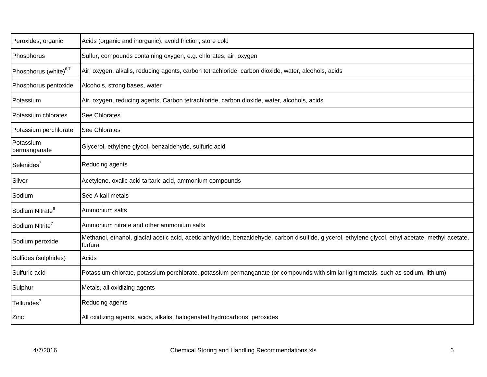| Peroxides, organic                | Acids (organic and inorganic), avoid friction, store cold                                                                                                       |  |
|-----------------------------------|-----------------------------------------------------------------------------------------------------------------------------------------------------------------|--|
| Phosphorus                        | Sulfur, compounds containing oxygen, e.g. chlorates, air, oxygen                                                                                                |  |
| Phosphorus (white) <sup>6,7</sup> | Air, oxygen, alkalis, reducing agents, carbon tetrachloride, carbon dioxide, water, alcohols, acids                                                             |  |
| Phosphorus pentoxide              | Alcohols, strong bases, water                                                                                                                                   |  |
| Potassium                         | Air, oxygen, reducing agents, Carbon tetrachloride, carbon dioxide, water, alcohols, acids                                                                      |  |
| Potassium chlorates               | See Chlorates                                                                                                                                                   |  |
| Potassium perchlorate             | <b>See Chlorates</b>                                                                                                                                            |  |
| Potassium<br>permanganate         | Glycerol, ethylene glycol, benzaldehyde, sulfuric acid                                                                                                          |  |
| Selenides <sup>7</sup>            | Reducing agents                                                                                                                                                 |  |
| Silver                            | Acetylene, oxalic acid tartaric acid, ammonium compounds                                                                                                        |  |
| Sodium                            | See Alkali metals                                                                                                                                               |  |
| Sodium Nitrate <sup>6</sup>       | Ammonium salts                                                                                                                                                  |  |
| Sodium Nitrite <sup>7</sup>       | Ammonium nitrate and other ammonium salts                                                                                                                       |  |
| Sodium peroxide                   | Methanol, ethanol, glacial acetic acid, acetic anhydride, benzaldehyde, carbon disulfide, glycerol, ethylene glycol, ethyl acetate, methyl acetate,<br>furfural |  |
| Sulfides (sulphides)              | Acids                                                                                                                                                           |  |
| Sulfuric acid                     | Potassium chlorate, potassium perchlorate, potassium permanganate (or compounds with similar light metals, such as sodium, lithium)                             |  |
| Sulphur                           | Metals, all oxidizing agents                                                                                                                                    |  |
| Tellurides <sup>7</sup>           | Reducing agents                                                                                                                                                 |  |
| Zinc                              | All oxidizing agents, acids, alkalis, halogenated hydrocarbons, peroxides                                                                                       |  |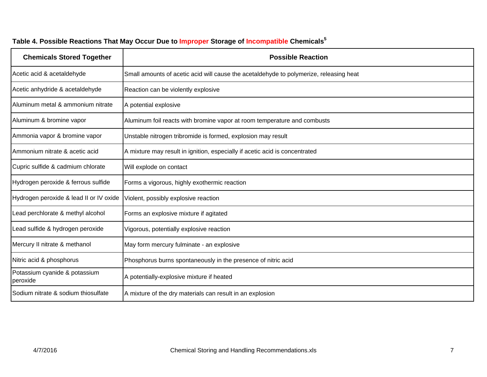| <b>Chemicals Stored Together</b>          | <b>Possible Reaction</b>                                                               |
|-------------------------------------------|----------------------------------------------------------------------------------------|
| Acetic acid & acetaldehyde                | Small amounts of acetic acid will cause the acetaldehyde to polymerize, releasing heat |
| Acetic anhydride & acetaldehyde           | Reaction can be violently explosive                                                    |
| Aluminum metal & ammonium nitrate         | A potential explosive                                                                  |
| Aluminum & bromine vapor                  | Aluminum foil reacts with bromine vapor at room temperature and combusts               |
| Ammonia vapor & bromine vapor             | Unstable nitrogen tribromide is formed, explosion may result                           |
| Ammonium nitrate & acetic acid            | A mixture may result in ignition, especially if acetic acid is concentrated            |
| Cupric sulfide & cadmium chlorate         | Will explode on contact                                                                |
| Hydrogen peroxide & ferrous sulfide       | Forms a vigorous, highly exothermic reaction                                           |
| Hydrogen peroxide & lead II or IV oxide   | Violent, possibly explosive reaction                                                   |
| Lead perchlorate & methyl alcohol         | Forms an explosive mixture if agitated                                                 |
| Lead sulfide & hydrogen peroxide          | Vigorous, potentially explosive reaction                                               |
| Mercury II nitrate & methanol             | May form mercury fulminate - an explosive                                              |
| Nitric acid & phosphorus                  | Phosphorus burns spontaneously in the presence of nitric acid                          |
| Potassium cyanide & potassium<br>peroxide | A potentially-explosive mixture if heated                                              |
| Sodium nitrate & sodium thiosulfate       | A mixture of the dry materials can result in an explosion                              |

## **Table 4. Possible Reactions That May Occur Due to Improper Storage of Incompatible Chemicals<sup>5</sup>**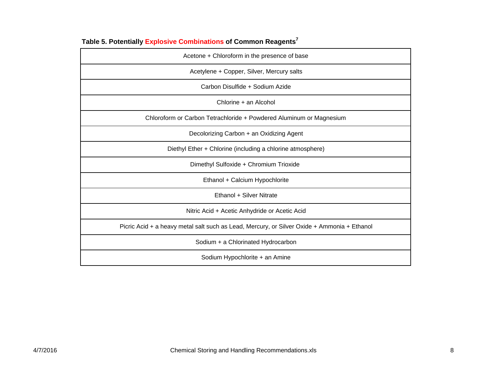| Acetone + Chloroform in the presence of base                                                |
|---------------------------------------------------------------------------------------------|
| Acetylene + Copper, Silver, Mercury salts                                                   |
| Carbon Disulfide + Sodium Azide                                                             |
| Chlorine + an Alcohol                                                                       |
| Chloroform or Carbon Tetrachloride + Powdered Aluminum or Magnesium                         |
| Decolorizing Carbon + an Oxidizing Agent                                                    |
| Diethyl Ether + Chlorine (including a chlorine atmosphere)                                  |
| Dimethyl Sulfoxide + Chromium Trioxide                                                      |
| Ethanol + Calcium Hypochlorite                                                              |
| Ethanol + Silver Nitrate                                                                    |
| Nitric Acid + Acetic Anhydride or Acetic Acid                                               |
| Picric Acid + a heavy metal salt such as Lead, Mercury, or Silver Oxide + Ammonia + Ethanol |
| Sodium + a Chlorinated Hydrocarbon                                                          |
| Sodium Hypochlorite + an Amine                                                              |

**Table 5. Potentially Explosive Combinations of Common Reagents<sup>7</sup>**